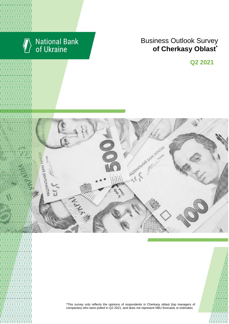

# **National Bank**<br>of Ukraine

### **Rusiness Outlook Survey**  $\bullet$  of Cherkasy Oblast<sup>\*</sup> області щодо їх ділових очікувань та повідкань business expectations \*

**Q2 2021**



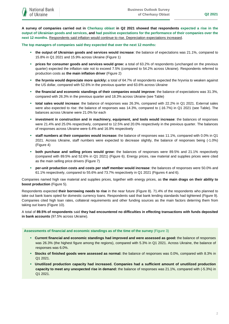**A survey of companies carried out in Cherkasy oblast in Q2 2021 showed that respondents expected a rise in the output of Ukrainian goods and services, and had positive expectations for the performance of their companies over the next 12 months.** Respondents said inflation would continue to rise. Depreciation expectations increased.

**The top managers of companies said they expected that over the next 12 months:**

- **the output of Ukrainian goods and services would increase**: the balance of expectations was 21.1%, compared to 15.8% in Q1 2021 and 15.9% across Ukraine (Figure 1)
- **prices for consumer goods and services would grow:** a total of 63.2% of respondents (unchanged on the previous quarter) expected the inflation rate not to exceed 7.5% (compared to 54.2% across Ukraine). Respondents referred to production costs as **the main inflation driver** (Figure 2)
- **the hryvnia would depreciate more quickly:** a total of 64.7% of respondents expected the hryvnia to weaken against the US dollar, compared with 52.6% in the previous quarter and 63.6% across Ukraine
- **the financial and economic standings of their companies would improve**: the balance of expectations was 31.3%, compared with 26.3% in the previous quarter and 18.3% across Ukraine (see Table)
- **total sales would increase**: the balance of responses was 26.3%, compared with 22.2% in Q1 2021. External sales were also expected to rise: the balance of responses was 14.3%, compared to (-16.7%) in Q1 2021 (see Table). The balances across Ukraine were 21.0% for each
- **investment in construction and in machinery, equipment, and tools would increase**: the balances of responses were 21.4% and 25.0% respectively, compared to 12.5% and 20.0% respectively in the previous quarter. The balances of responses across Ukraine were 6.4% and 16.9% respectively
- **staff numbers at their companies would increase:** the balance of responses was 11.1%, compared with 0.0% in Q1 2021. Across Ukraine, staff numbers were expected to decrease slightly, the balance of responses being (-1.0%) (Figure 4)
- **both purchase and selling prices would grow:** the balances of responses were 89.5% and 21.1% respectively (compared with 89.5% and 52.6% in Q1 2021) (Figure 6). Energy prices, raw material and supplies prices were cited as the main selling price drivers (Figure 7)
- **per-unit production costs and costs per staff member would increase**: the balances of responses were 50.0% and 61.1% respectively, compared to 55.6% and 73.7% respectively in Q1 2021 (Figures 4 and 6).

Companies named high raw material and supplies prices, together with energy prices, as **the main drags on their ability to boost production** (Figure 5).

Respondents expected **their borrowing needs to rise** in the near future (Figure 8). 71.4% of the respondents who planned to take out bank loans opted for domestic currency loans. Respondents said that bank lending standards had tightened (Figure 9). Companies cited high loan rates, collateral requirements and other funding sources as the main factors deterring them from taking out loans (Figure 10).

A total of **89.5% of respondents** said **they had encountered no difficulties in effecting transactions with funds deposited in bank accounts** (97.5% across Ukraine).

### **Assessments of financial and economic standings as of the time of the survey** (Figure 3)

- **Current financial and economic standings had improved and were assessed as good:** the balance of responses was 26.3% (the highest figure among the regions), compared with 5.3% in Q1 2021. Across Ukraine, the balance of responses was 6.0%.
- **Stocks of finished goods were assessed as normal:** the balance of responses was 0.0%, compared with 8.3% in Q1 2021.
- **Unutilized production capacity had increased. Companies had a sufficient amount of unutilized production capacity to meet any unexpected rise in demand:** the balance of responses was 21.1%, compared with (-5.3%) in Q1 2021.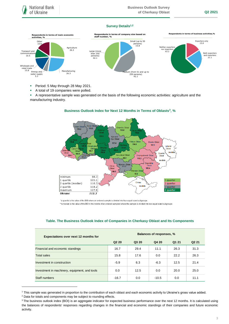### **Survey Details1,2**



- Period: 5 May through 28 May 2021.
- A total of 19 companies were polled.
- A representative sample was generated on the basis of the following economic activities: agriculture and the manufacturing industry.



### **Business Outlook Index for Next 12 Months in Terms of Oblasts<sup>3</sup> , %**

\*a quartile is the value of the BOI where an ordered sample is divided into four equal-sized subgroups \*\*a median is the value of the BOI in the middle of an ordered sampled where the sample is divided into two equal-sized subgroups

| <b>Expectations over next 12 months for</b>   | <b>Balances of responses, %</b> |       |         |       |                   |
|-----------------------------------------------|---------------------------------|-------|---------|-------|-------------------|
|                                               | Q <sub>2</sub> 2 <sub>0</sub>   | Q3 20 | Q4 20   | Q1 21 | Q <sub>2</sub> 21 |
| Financial and economic standings              | 16.7                            | 29.4  | 11.1    | 26.3  | 31.3              |
| Total sales                                   | 15.8                            | 17.6  | 0.0     | 22.2  | 26.3              |
| Investment in construction                    | $-5.9$                          | 6.3   | $-6.3$  | 12.5  | 21.4              |
| Investment in machinery, equipment, and tools | 0.0                             | 12.5  | 0.0     | 20.0  | 25.0              |
| Staff numbers                                 | $-16.7$                         | 0.0   | $-10.5$ | 0.0   | 11.1              |

### **Table. The Business Outlook Index of Companies in Cherkasy Oblast and Its Components**

1

<sup>1</sup> This sample was generated in proportion to the contribution of each oblast and each economic activity to Ukraine's gross value added. <sup>2</sup> Data for totals and components may be subject to rounding effects.

<sup>&</sup>lt;sup>3</sup> The business outlook index (BOI) is an aggregate indicator for expected business performance over the next 12 months. It is calculated using the balances of respondents' responses regarding changes in the financial and economic standings of their companies and future economic activity.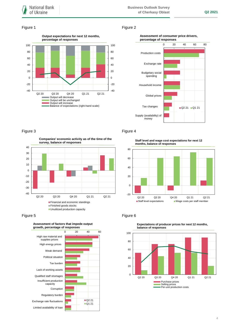### Figure 1 Figure 2



### **Assessment of consumer price drivers, percentage of responses**



### Figure 3 **Figure 4**

**Companies' economic activity as of the time of the survey, balance of responses**



Figure 5 **Figure 6** Figure 6



**Staff level and wage cost expectations for next 12 months, balance of responses**





**Expectations of producer prices for next 12 months,**